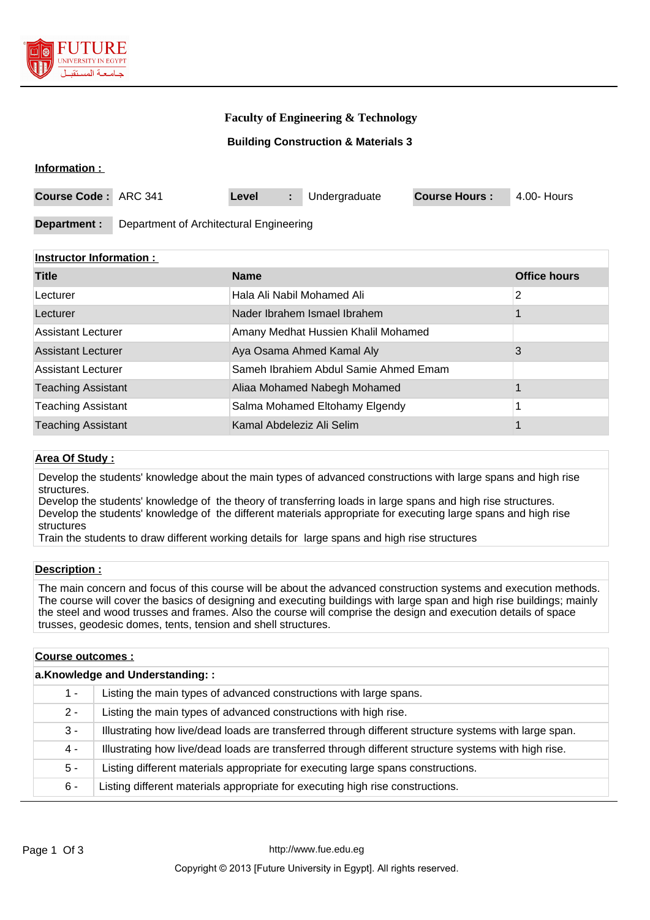

### **Faculty of Engineering & Technology**

**Building Construction & Materials 3**

#### **Information :**

| <b>Course Code: ARC 341</b> |                                         | Level |  | Undergraduate | <b>Course Hours:</b> | 4.00- Hours |
|-----------------------------|-----------------------------------------|-------|--|---------------|----------------------|-------------|
|                             |                                         |       |  |               |                      |             |
| Department :                | Department of Architectural Engineering |       |  |               |                      |             |

#### **Instructor Information :**

| <b>Title</b>              | <b>Name</b>                           | <b>Office hours</b> |
|---------------------------|---------------------------------------|---------------------|
| Lecturer                  | Hala Ali Nabil Mohamed Ali            | 2                   |
| Lecturer                  | Nader Ibrahem Ismael Ibrahem          |                     |
| Assistant Lecturer        | Amany Medhat Hussien Khalil Mohamed   |                     |
| <b>Assistant Lecturer</b> | Aya Osama Ahmed Kamal Aly             | 3                   |
| Assistant Lecturer        | Sameh Ibrahiem Abdul Samie Ahmed Emam |                     |
| <b>Teaching Assistant</b> | Aliaa Mohamed Nabegh Mohamed          |                     |
| <b>Teaching Assistant</b> | Salma Mohamed Eltohamy Elgendy        |                     |
| <b>Teaching Assistant</b> | Kamal Abdeleziz Ali Selim             |                     |

#### **Area Of Study :**

Develop the students' knowledge about the main types of advanced constructions with large spans and high rise structures.

Develop the students' knowledge of the theory of transferring loads in large spans and high rise structures. Develop the students' knowledge of the different materials appropriate for executing large spans and high rise structures

Train the students to draw different working details for large spans and high rise structures

#### **Description :**

The main concern and focus of this course will be about the advanced construction systems and execution methods. The course will cover the basics of designing and executing buildings with large span and high rise buildings; mainly the steel and wood trusses and frames. Also the course will comprise the design and execution details of space trusses, geodesic domes, tents, tension and shell structures.

| <b>Course outcomes:</b>         |                                                                                                       |  |  |
|---------------------------------|-------------------------------------------------------------------------------------------------------|--|--|
| a.Knowledge and Understanding:: |                                                                                                       |  |  |
| $1 -$                           | Listing the main types of advanced constructions with large spans.                                    |  |  |
| $2 -$                           | Listing the main types of advanced constructions with high rise.                                      |  |  |
| 3 -                             | Illustrating how live/dead loads are transferred through different structure systems with large span. |  |  |
| 4 -                             | Illustrating how live/dead loads are transferred through different structure systems with high rise.  |  |  |
| $5 -$                           | Listing different materials appropriate for executing large spans constructions.                      |  |  |
| $6 -$                           | Listing different materials appropriate for executing high rise constructions.                        |  |  |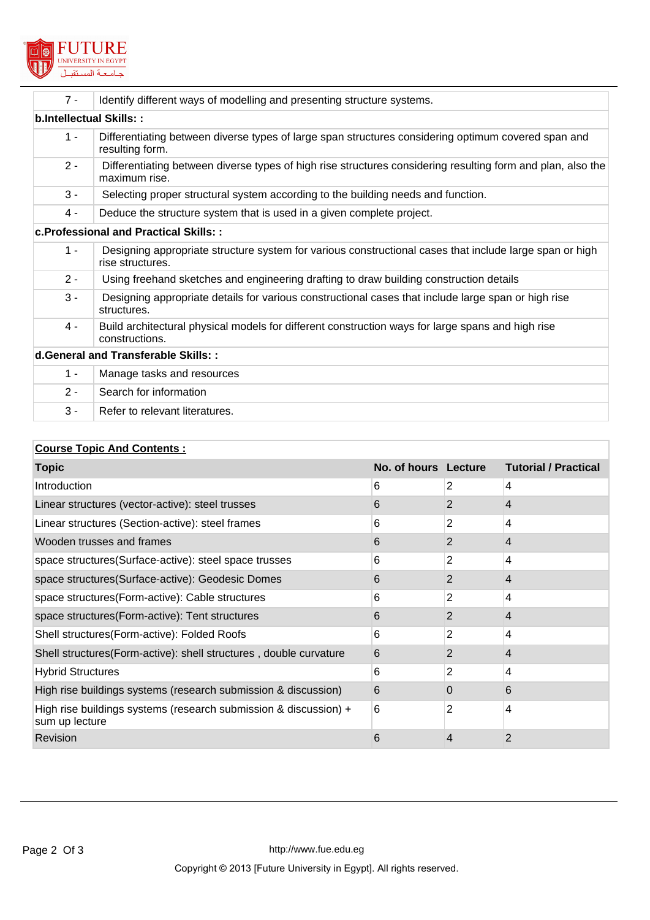

| $7 -$                   | Identify different ways of modelling and presenting structure systems.                                                       |  |  |
|-------------------------|------------------------------------------------------------------------------------------------------------------------------|--|--|
| b.Intellectual Skills:: |                                                                                                                              |  |  |
| $1 -$                   | Differentiating between diverse types of large span structures considering optimum covered span and<br>resulting form.       |  |  |
| $2 -$                   | Differentiating between diverse types of high rise structures considering resulting form and plan, also the<br>maximum rise. |  |  |
| $3 -$                   | Selecting proper structural system according to the building needs and function.                                             |  |  |
| $4 -$                   | Deduce the structure system that is used in a given complete project.                                                        |  |  |
|                         | c. Professional and Practical Skills::                                                                                       |  |  |
| $1 -$                   | Designing appropriate structure system for various constructional cases that include large span or high<br>rise structures.  |  |  |
| $2 -$                   | Using freehand sketches and engineering drafting to draw building construction details                                       |  |  |
| $3 -$                   | Designing appropriate details for various constructional cases that include large span or high rise<br>structures.           |  |  |
| $4 -$                   | Build architectural physical models for different construction ways for large spans and high rise<br>constructions.          |  |  |
|                         | d.General and Transferable Skills::                                                                                          |  |  |
| $1 -$                   | Manage tasks and resources                                                                                                   |  |  |
| $2 -$                   | Search for information                                                                                                       |  |  |
| $3 -$                   | Refer to relevant literatures.                                                                                               |  |  |

# **Course Topic And Contents :**

| <b>Topic</b>                                                                       | No. of hours Lecture |                | <b>Tutorial / Practical</b> |
|------------------------------------------------------------------------------------|----------------------|----------------|-----------------------------|
| Introduction                                                                       | 6                    | 2              | 4                           |
| Linear structures (vector-active): steel trusses                                   | 6                    | 2              | 4                           |
| Linear structures (Section-active): steel frames                                   | 6                    | 2              | 4                           |
| Wooden trusses and frames                                                          | 6                    | $\overline{2}$ | 4                           |
| space structures (Surface-active): steel space trusses                             | 6                    | 2              | 4                           |
| space structures(Surface-active): Geodesic Domes                                   | 6                    | 2              | 4                           |
| space structures (Form-active): Cable structures                                   | 6                    | 2              | 4                           |
| space structures (Form-active): Tent structures                                    | 6                    | 2              | 4                           |
| Shell structures(Form-active): Folded Roofs                                        | 6                    | $\overline{2}$ | 4                           |
| Shell structures(Form-active): shell structures, double curvature                  | 6                    | 2              | 4                           |
| <b>Hybrid Structures</b>                                                           | 6                    | 2              | 4                           |
| High rise buildings systems (research submission & discussion)                     | 6                    | 0              | 6                           |
| High rise buildings systems (research submission & discussion) +<br>sum up lecture | 6                    | 2              | 4                           |
| Revision                                                                           | 6                    | 4              | $\overline{2}$              |